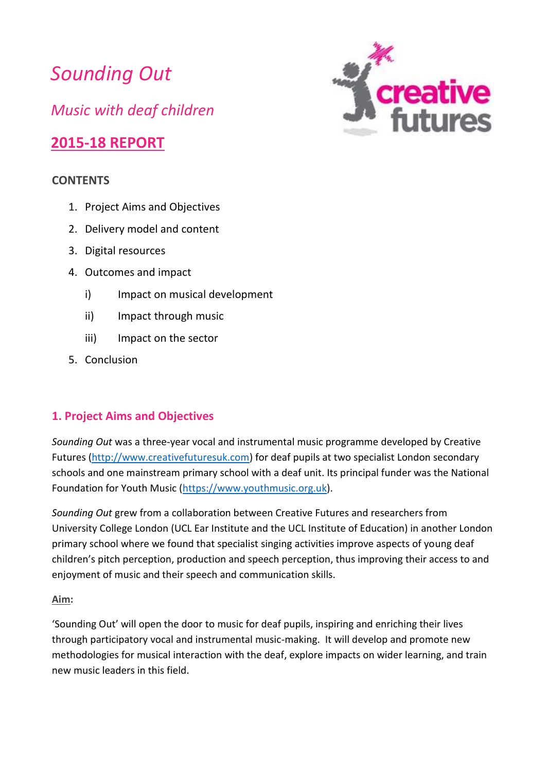*Sounding Out Music with deaf children*

# **2015-18 REPORT**

#### **CONTENTS**

- 1. Project Aims and Objectives
- 2. Delivery model and content
- 3. Digital resources
- 4. Outcomes and impact
	- i) Impact on musical development
	- ii) Impact through music
	- iii) Impact on the sector
- 5. Conclusion

## **1. Project Aims and Objectives**

*Sounding Out* was a three-year vocal and instrumental music programme developed by Creative Futures [\(http://www.creativefuturesuk.com\)](http://www.creativefuturesuk.com/) for deaf pupils at two specialist London secondary schools and one mainstream primary school with a deaf unit. Its principal funder was the National Foundation for Youth Music [\(https://www.youthmusic.org.uk\)](https://www.youthmusic.org.uk/).

*Sounding Out* grew from a collaboration between Creative Futures and researchers from University College London (UCL Ear Institute and the UCL Institute of Education) in another London primary school where we found that specialist singing activities improve aspects of young deaf children's pitch perception, production and speech perception, thus improving their access to and enjoyment of music and their speech and communication skills.

#### **Aim:**

'Sounding Out' will open the door to music for deaf pupils, inspiring and enriching their lives through participatory vocal and instrumental music-making. It will develop and promote new methodologies for musical interaction with the deaf, explore impacts on wider learning, and train new music leaders in this field.

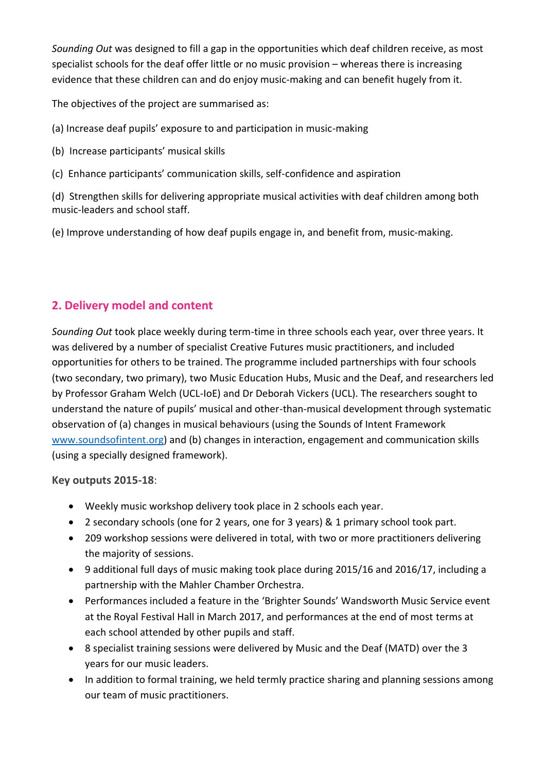*Sounding Out* was designed to fill a gap in the opportunities which deaf children receive, as most specialist schools for the deaf offer little or no music provision – whereas there is increasing evidence that these children can and do enjoy music-making and can benefit hugely from it.

The objectives of the project are summarised as:

- (a) Increase deaf pupils' exposure to and participation in music-making
- (b) Increase participants' musical skills
- (c) Enhance participants' communication skills, self-confidence and aspiration

(d) Strengthen skills for delivering appropriate musical activities with deaf children among both music-leaders and school staff.

(e) Improve understanding of how deaf pupils engage in, and benefit from, music-making.

# **2. Delivery model and content**

*Sounding Out* took place weekly during term-time in three schools each year, over three years. It was delivered by a number of specialist Creative Futures music practitioners, and included opportunities for others to be trained. The programme included partnerships with four schools (two secondary, two primary), two Music Education Hubs, Music and the Deaf, and researchers led by Professor Graham Welch (UCL-IoE) and Dr Deborah Vickers (UCL). The researchers sought to understand the nature of pupils' musical and other-than-musical development through systematic observation of (a) changes in musical behaviours (using the Sounds of Intent Framework [www.soundsofintent.org\)](http://www.soundsofintent.org/) and (b) changes in interaction, engagement and communication skills (using a specially designed framework).

#### **Key outputs 2015-18**:

- Weekly music workshop delivery took place in 2 schools each year.
- 2 secondary schools (one for 2 years, one for 3 years) & 1 primary school took part.
- 209 workshop sessions were delivered in total, with two or more practitioners delivering the majority of sessions.
- 9 additional full days of music making took place during 2015/16 and 2016/17, including a partnership with the Mahler Chamber Orchestra.
- Performances included a feature in the 'Brighter Sounds' Wandsworth Music Service event at the Royal Festival Hall in March 2017, and performances at the end of most terms at each school attended by other pupils and staff.
- 8 specialist training sessions were delivered by Music and the Deaf (MATD) over the 3 years for our music leaders.
- In addition to formal training, we held termly practice sharing and planning sessions among our team of music practitioners.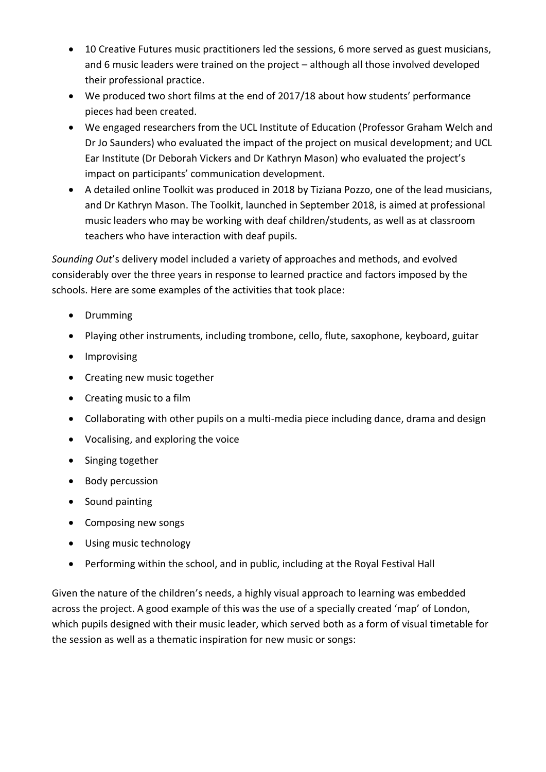- 10 Creative Futures music practitioners led the sessions, 6 more served as guest musicians, and 6 music leaders were trained on the project – although all those involved developed their professional practice.
- We produced two short films at the end of 2017/18 about how students' performance pieces had been created.
- We engaged researchers from the UCL Institute of Education (Professor Graham Welch and Dr Jo Saunders) who evaluated the impact of the project on musical development; and UCL Ear Institute (Dr Deborah Vickers and Dr Kathryn Mason) who evaluated the project's impact on participants' communication development.
- A detailed online Toolkit was produced in 2018 by Tiziana Pozzo, one of the lead musicians, and Dr Kathryn Mason. The Toolkit, launched in September 2018, is aimed at professional music leaders who may be working with deaf children/students, as well as at classroom teachers who have interaction with deaf pupils.

*Sounding Out*'s delivery model included a variety of approaches and methods, and evolved considerably over the three years in response to learned practice and factors imposed by the schools. Here are some examples of the activities that took place:

- Drumming
- Playing other instruments, including trombone, cello, flute, saxophone, keyboard, guitar
- Improvising
- Creating new music together
- Creating music to a film
- Collaborating with other pupils on a multi-media piece including dance, drama and design
- Vocalising, and exploring the voice
- Singing together
- Body percussion
- Sound painting
- Composing new songs
- Using music technology
- Performing within the school, and in public, including at the Royal Festival Hall

Given the nature of the children's needs, a highly visual approach to learning was embedded across the project. A good example of this was the use of a specially created 'map' of London, which pupils designed with their music leader, which served both as a form of visual timetable for the session as well as a thematic inspiration for new music or songs: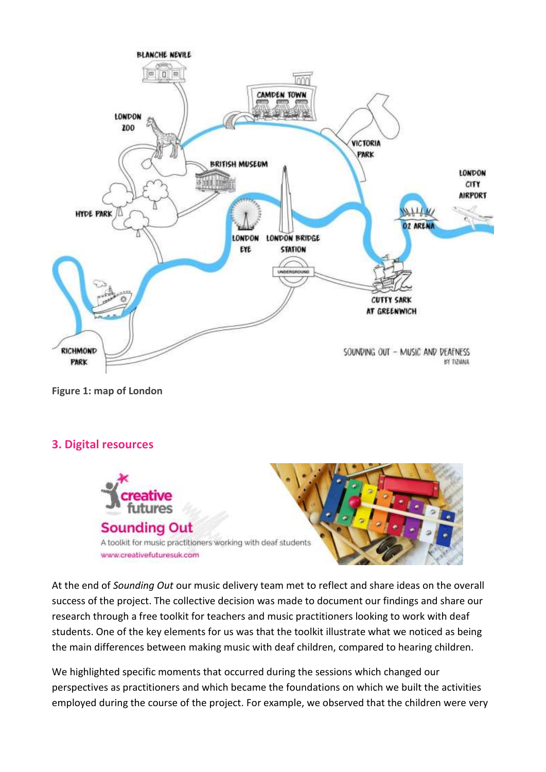

**Figure 1: map of London**

#### **3. Digital resources**



At the end of *Sounding Out* our music delivery team met to reflect and share ideas on the overall success of the project. The collective decision was made to document our findings and share our research through a free toolkit for teachers and music practitioners looking to work with deaf students. One of the key elements for us was that the toolkit illustrate what we noticed as being the main differences between making music with deaf children, compared to hearing children.

We highlighted specific moments that occurred during the sessions which changed our perspectives as practitioners and which became the foundations on which we built the activities employed during the course of the project. For example, we observed that the children were very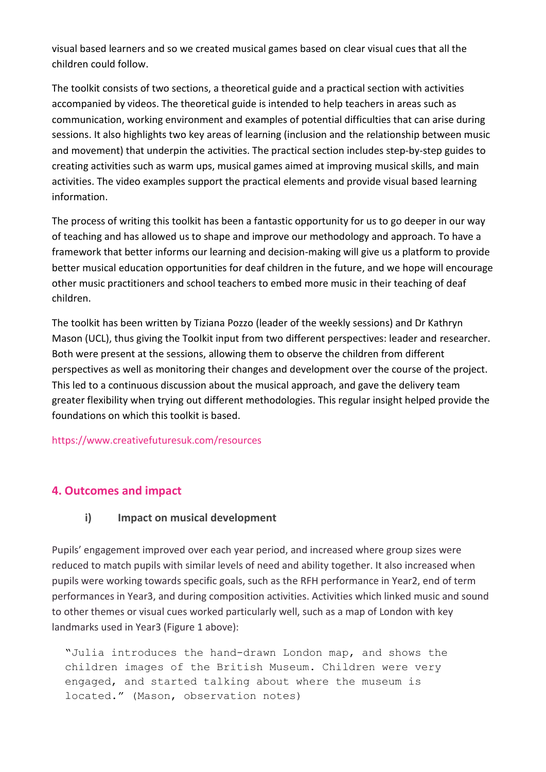visual based learners and so we created musical games based on clear visual cues that all the children could follow.

The toolkit consists of two sections, a theoretical guide and a practical section with activities accompanied by videos. The theoretical guide is intended to help teachers in areas such as communication, working environment and examples of potential difficulties that can arise during sessions. It also highlights two key areas of learning (inclusion and the relationship between music and movement) that underpin the activities. The practical section includes step-by-step guides to creating activities such as warm ups, musical games aimed at improving musical skills, and main activities. The video examples support the practical elements and provide visual based learning information.

The process of writing this toolkit has been a fantastic opportunity for us to go deeper in our way of teaching and has allowed us to shape and improve our methodology and approach. To have a framework that better informs our learning and decision-making will give us a platform to provide better musical education opportunities for deaf children in the future, and we hope will encourage other music practitioners and school teachers to embed more music in their teaching of deaf children.

The toolkit has been written by Tiziana Pozzo (leader of the weekly sessions) and Dr Kathryn Mason (UCL), thus giving the Toolkit input from two different perspectives: leader and researcher. Both were present at the sessions, allowing them to observe the children from different perspectives as well as monitoring their changes and development over the course of the project. This led to a continuous discussion about the musical approach, and gave the delivery team greater flexibility when trying out different methodologies. This regular insight helped provide the foundations on which this toolkit is based.

#### https://www.creativefuturesuk.com/resources

#### **4. Outcomes and impact**

#### **i) Impact on musical development**

Pupils' engagement improved over each year period, and increased where group sizes were reduced to match pupils with similar levels of need and ability together. It also increased when pupils were working towards specific goals, such as the RFH performance in Year2, end of term performances in Year3, and during composition activities. Activities which linked music and sound to other themes or visual cues worked particularly well, such as a map of London with key landmarks used in Year3 (Figure 1 above):

"Julia introduces the hand-drawn London map, and shows the children images of the British Museum. Children were very engaged, and started talking about where the museum is located." (Mason, observation notes)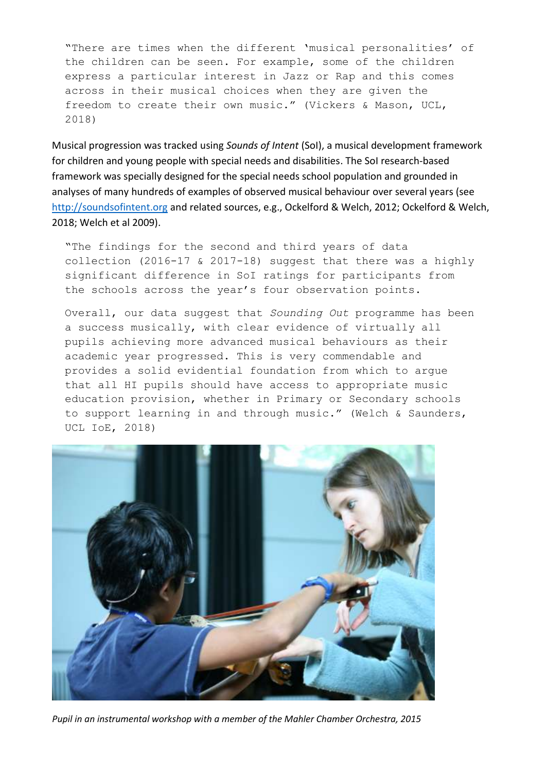"There are times when the different 'musical personalities' of the children can be seen. For example, some of the children express a particular interest in Jazz or Rap and this comes across in their musical choices when they are given the freedom to create their own music." (Vickers & Mason, UCL, 2018)

Musical progression was tracked using *Sounds of Intent* (SoI), a musical development framework for children and young people with special needs and disabilities. The SoI research-based framework was specially designed for the special needs school population and grounded in analyses of many hundreds of examples of observed musical behaviour over several years (see [http://soundsofintent.org](http://soundsofintent.org/) and related sources, e.g., Ockelford & Welch, 2012; Ockelford & Welch, 2018; Welch et al 2009).

"The findings for the second and third years of data collection (2016-17 & 2017-18) suggest that there was a highly significant difference in SoI ratings for participants from the schools across the year's four observation points.

Overall, our data suggest that *Sounding Out* programme has been a success musically, with clear evidence of virtually all pupils achieving more advanced musical behaviours as their academic year progressed. This is very commendable and provides a solid evidential foundation from which to argue that all HI pupils should have access to appropriate music education provision, whether in Primary or Secondary schools to support learning in and through music." (Welch & Saunders, UCL IoE, 2018)



*Pupil in an instrumental workshop with a member of the Mahler Chamber Orchestra, 2015*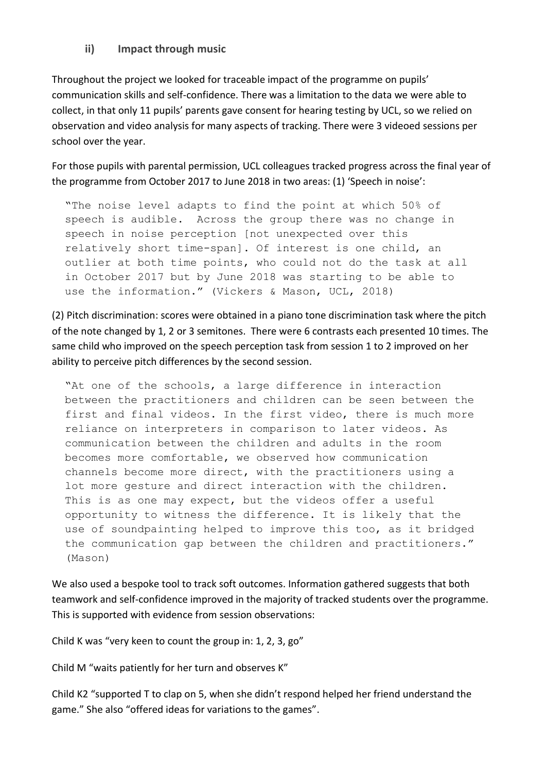**ii) Impact through music**

Throughout the project we looked for traceable impact of the programme on pupils' communication skills and self-confidence. There was a limitation to the data we were able to collect, in that only 11 pupils' parents gave consent for hearing testing by UCL, so we relied on observation and video analysis for many aspects of tracking. There were 3 videoed sessions per school over the year.

For those pupils with parental permission, UCL colleagues tracked progress across the final year of the programme from October 2017 to June 2018 in two areas: (1) 'Speech in noise':

"The noise level adapts to find the point at which 50% of speech is audible. Across the group there was no change in speech in noise perception [not unexpected over this relatively short time-span]. Of interest is one child, an outlier at both time points, who could not do the task at all in October 2017 but by June 2018 was starting to be able to use the information." (Vickers & Mason, UCL, 2018)

(2) Pitch discrimination: scores were obtained in a piano tone discrimination task where the pitch of the note changed by 1, 2 or 3 semitones. There were 6 contrasts each presented 10 times. The same child who improved on the speech perception task from session 1 to 2 improved on her ability to perceive pitch differences by the second session.

"At one of the schools, a large difference in interaction between the practitioners and children can be seen between the first and final videos. In the first video, there is much more reliance on interpreters in comparison to later videos. As communication between the children and adults in the room becomes more comfortable, we observed how communication channels become more direct, with the practitioners using a lot more gesture and direct interaction with the children. This is as one may expect, but the videos offer a useful opportunity to witness the difference. It is likely that the use of soundpainting helped to improve this too, as it bridged the communication gap between the children and practitioners." (Mason)

We also used a bespoke tool to track soft outcomes. Information gathered suggests that both teamwork and self-confidence improved in the majority of tracked students over the programme. This is supported with evidence from session observations:

Child K was "very keen to count the group in: 1, 2, 3, go"

Child M "waits patiently for her turn and observes K"

Child K2 "supported T to clap on 5, when she didn't respond helped her friend understand the game." She also "offered ideas for variations to the games".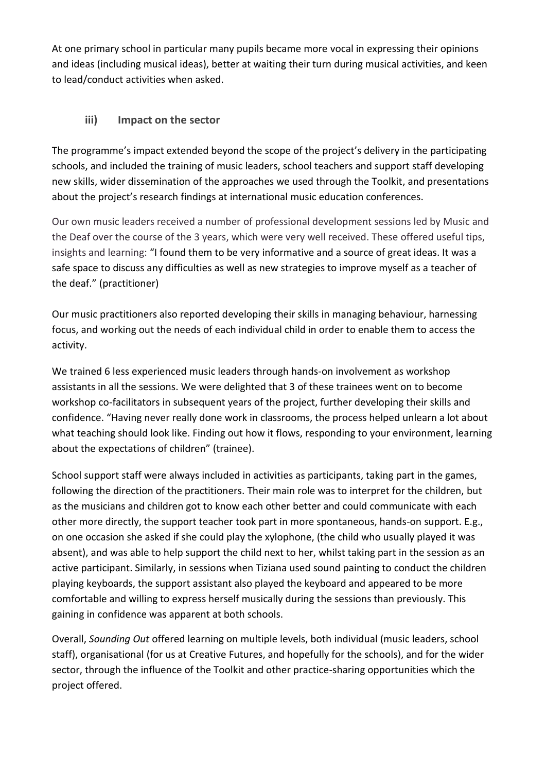At one primary school in particular many pupils became more vocal in expressing their opinions and ideas (including musical ideas), better at waiting their turn during musical activities, and keen to lead/conduct activities when asked.

### **iii) Impact on the sector**

The programme's impact extended beyond the scope of the project's delivery in the participating schools, and included the training of music leaders, school teachers and support staff developing new skills, wider dissemination of the approaches we used through the Toolkit, and presentations about the project's research findings at international music education conferences.

Our own music leaders received a number of professional development sessions led by Music and the Deaf over the course of the 3 years, which were very well received. These offered useful tips, insights and learning: "I found them to be very informative and a source of great ideas. It was a safe space to discuss any difficulties as well as new strategies to improve myself as a teacher of the deaf." (practitioner)

Our music practitioners also reported developing their skills in managing behaviour, harnessing focus, and working out the needs of each individual child in order to enable them to access the activity.

We trained 6 less experienced music leaders through hands-on involvement as workshop assistants in all the sessions. We were delighted that 3 of these trainees went on to become workshop co-facilitators in subsequent years of the project, further developing their skills and confidence. "Having never really done work in classrooms, the process helped unlearn a lot about what teaching should look like. Finding out how it flows, responding to your environment, learning about the expectations of children" (trainee).

School support staff were always included in activities as participants, taking part in the games, following the direction of the practitioners. Their main role was to interpret for the children, but as the musicians and children got to know each other better and could communicate with each other more directly, the support teacher took part in more spontaneous, hands-on support. E.g., on one occasion she asked if she could play the xylophone, (the child who usually played it was absent), and was able to help support the child next to her, whilst taking part in the session as an active participant. Similarly, in sessions when Tiziana used sound painting to conduct the children playing keyboards, the support assistant also played the keyboard and appeared to be more comfortable and willing to express herself musically during the sessions than previously. This gaining in confidence was apparent at both schools.

Overall, *Sounding Out* offered learning on multiple levels, both individual (music leaders, school staff), organisational (for us at Creative Futures, and hopefully for the schools), and for the wider sector, through the influence of the Toolkit and other practice-sharing opportunities which the project offered.